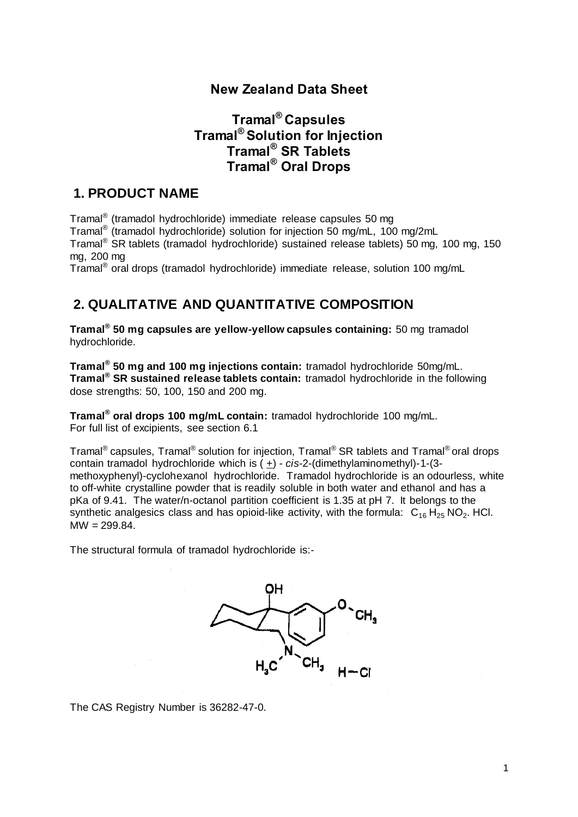## **New Zealand Data Sheet**

## **Tramal® Capsules Tramal® Solution for Injection Tramal® SR Tablets Tramal® Oral Drops**

## **1. PRODUCT NAME**

Tramal<sup>®</sup> (tramadol hydrochloride) immediate release capsules 50 mg Tramal® (tramadol hydrochloride) solution for injection 50 mg/mL, 100 mg/2mL Tramal® SR tablets (tramadol hydrochloride) sustained release tablets) 50 mg, 100 mg, 150 mg, 200 mg

Tramal® oral drops (tramadol hydrochloride) immediate release, solution 100 mg/mL

## **2. QUALITATIVE AND QUANTITATIVE COMPOSITION**

**Tramal® 50 mg capsules are yellow-yellow capsules containing:** 50 mg tramadol hydrochloride.

**Tramal® 50 mg and 100 mg injections contain:** tramadol hydrochloride 50mg/mL. **Tramal® SR sustained release tablets contain:** tramadol hydrochloride in the following dose strengths: 50, 100, 150 and 200 mg.

**Tramal® oral drops 100 mg/mL contain:** tramadol hydrochloride 100 mg/mL. For full list of excipients, see section 6.1

Tramal® capsules, Tramal® solution for injection, Tramal® SR tablets and Tramal® oral drops contain tramadol hydrochloride which is ( $\pm$ ) - *cis*-2-(dimethylaminomethyl)-1-(3methoxyphenyl)-cyclohexanol hydrochloride. Tramadol hydrochloride is an odourless, white to off-white crystalline powder that is readily soluble in both water and ethanol and has a pKa of 9.41. The water/n-octanol partition coefficient is 1.35 at pH 7. It belongs to the synthetic analgesics class and has opioid-like activity, with the formula:  $C_{16} H_{25} NO_2$ . HCl.  $MW = 299.84.$ 

The structural formula of tramadol hydrochloride is:-



The CAS Registry Number is 36282-47-0.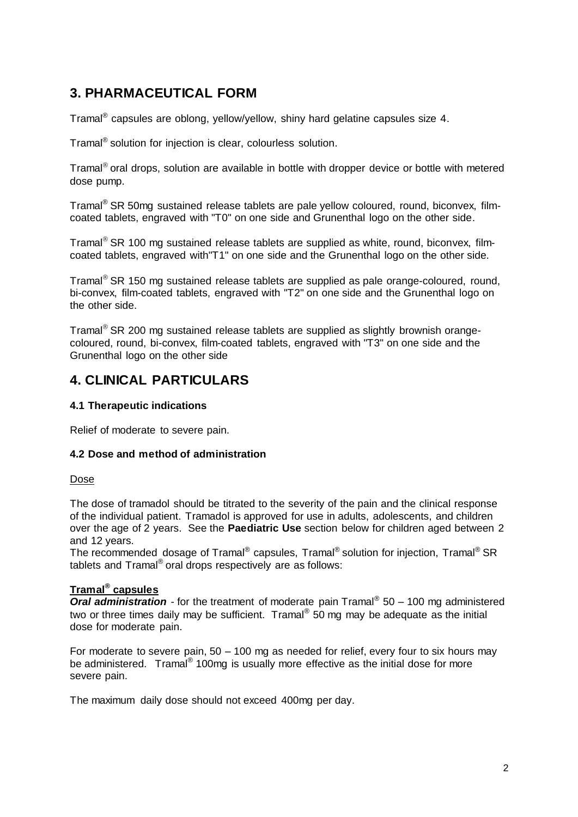# **3. PHARMACEUTICAL FORM**

Tramal $^{\circledR}$  capsules are oblong, yellow/yellow, shiny hard gelatine capsules size 4.

Tramal® solution for injection is clear, colourless solution.

Tramal<sup>®</sup> oral drops, solution are available in bottle with dropper device or bottle with metered dose pump.

Tramal® SR 50mg sustained release tablets are pale yellow coloured, round, biconvex, filmcoated tablets, engraved with "T0" on one side and Grunenthal logo on the other side.

Tramal<sup>®</sup> SR 100 mg sustained release tablets are supplied as white, round, biconvex, filmcoated tablets, engraved with"T1" on one side and the Grunenthal logo on the other side.

Tramal<sup>®</sup> SR 150 mg sustained release tablets are supplied as pale orange-coloured, round, bi-convex, film-coated tablets, engraved with "T2" on one side and the Grunenthal logo on the other side.

Tramal<sup>®</sup> SR 200 mg sustained release tablets are supplied as slightly brownish orangecoloured, round, bi-convex, film-coated tablets, engraved with "T3" on one side and the Grunenthal logo on the other side

## **4. CLINICAL PARTICULARS**

## **4.1 Therapeutic indications**

Relief of moderate to severe pain.

## **4.2 Dose and method of administration**

## Dose

The dose of tramadol should be titrated to the severity of the pain and the clinical response of the individual patient. Tramadol is approved for use in adults, adolescents, and children over the age of 2 years. See the **Paediatric Use** section below for children aged between 2 and 12 years.

The recommended dosage of Tramal® capsules, Tramal® solution for injection, Tramal® SR tablets and Tramal® oral drops respectively are as follows:

## **Tramal® capsules**

**Oral administration** - for the treatment of moderate pain Tramal<sup>®</sup> 50 – 100 mg administered two or three times daily may be sufficient. Tramal® 50 mg may be adequate as the initial dose for moderate pain.

For moderate to severe pain, 50 – 100 mg as needed for relief, every four to six hours may be administered. Tramal<sup>®</sup> 100mg is usually more effective as the initial dose for more severe pain.

The maximum daily dose should not exceed 400mg per day.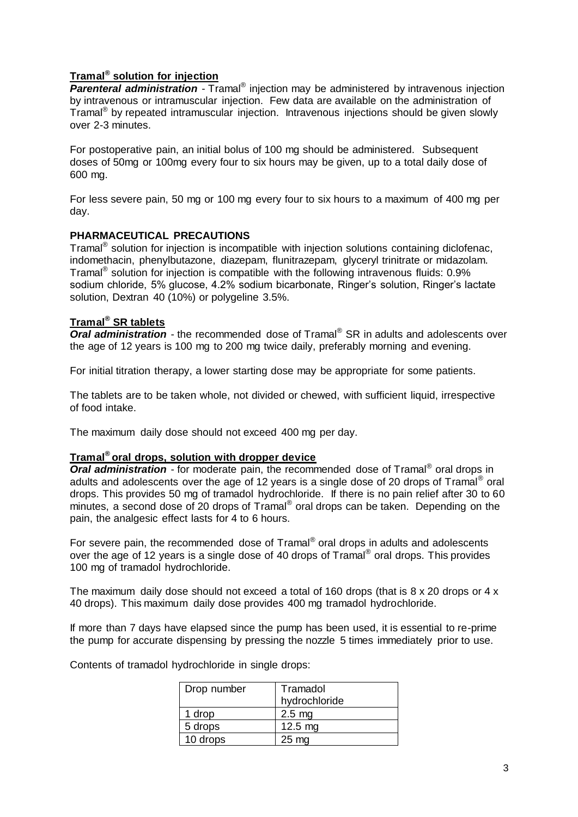## **Tramal® solution for injection**

**Parenteral administration** - Tramal<sup>®</sup> injection may be administered by intravenous injection by intravenous or intramuscular injection. Few data are available on the administration of Tramal® by repeated intramuscular injection. Intravenous injections should be given slowly over 2-3 minutes.

For postoperative pain, an initial bolus of 100 mg should be administered. Subsequent doses of 50mg or 100mg every four to six hours may be given, up to a total daily dose of 600 mg.

For less severe pain, 50 mg or 100 mg every four to six hours to a maximum of 400 mg per day.

## **PHARMACEUTICAL PRECAUTIONS**

Tramal<sup>®</sup> solution for injection is incompatible with injection solutions containing diclofenac, indomethacin, phenylbutazone, diazepam, flunitrazepam, glyceryl trinitrate or midazolam. Tramal<sup>®</sup> solution for injection is compatible with the following intravenous fluids:  $0.9\%$ sodium chloride, 5% glucose, 4.2% sodium bicarbonate, Ringer's solution, Ringer's lactate solution, Dextran 40 (10%) or polygeline 3.5%.

## **Tramal® SR tablets**

*Oral administration* - the recommended dose of Tramal<sup>®</sup> SR in adults and adolescents over the age of 12 years is 100 mg to 200 mg twice daily, preferably morning and evening.

For initial titration therapy, a lower starting dose may be appropriate for some patients.

The tablets are to be taken whole, not divided or chewed, with sufficient liquid, irrespective of food intake.

The maximum daily dose should not exceed 400 mg per day.

## **Tramal® oral drops, solution with dropper device**

**Oral administration** - for moderate pain, the recommended dose of Tramal<sup>®</sup> oral drops in adults and adolescents over the age of 12 years is a single dose of 20 drops of Tramal® oral drops. This provides 50 mg of tramadol hydrochloride. If there is no pain relief after 30 to 60 minutes, a second dose of 20 drops of Tramal® oral drops can be taken. Depending on the pain, the analgesic effect lasts for 4 to 6 hours.

For severe pain, the recommended dose of Tramal® oral drops in adults and adolescents over the age of 12 years is a single dose of 40 drops of Tramal® oral drops. This provides 100 mg of tramadol hydrochloride.

The maximum daily dose should not exceed a total of 160 drops (that is  $8 \times 20$  drops or  $4 \times$ 40 drops). This maximum daily dose provides 400 mg tramadol hydrochloride.

If more than 7 days have elapsed since the pump has been used, it is essential to re-prime the pump for accurate dispensing by pressing the nozzle 5 times immediately prior to use.

Contents of tramadol hydrochloride in single drops:

| Drop number | Tramadol<br>hydrochloride |
|-------------|---------------------------|
| 1 drop      | $2.5 \text{ mg}$          |
| 5 drops     | $12.5$ mg                 |
| 10 drops    | $25 \text{ mg}$           |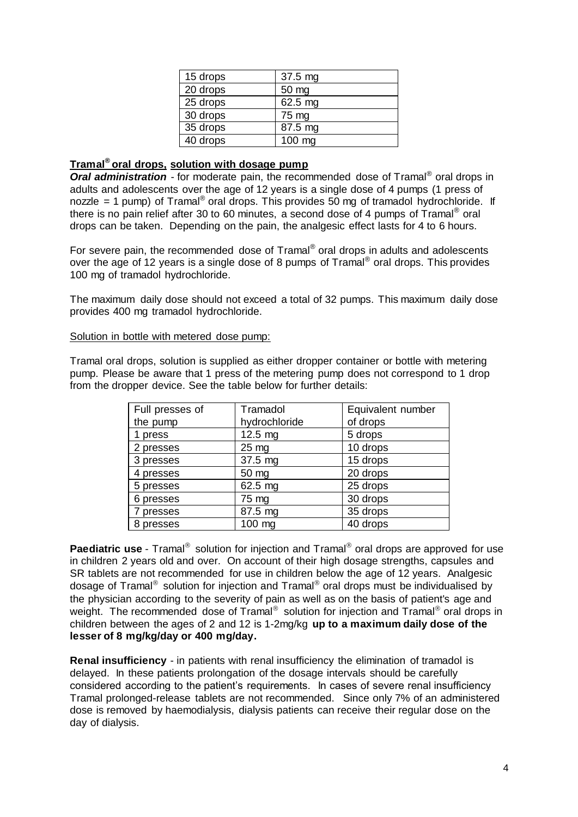| 15 drops | 37.5 mg |
|----------|---------|
| 20 drops | 50 mg   |
| 25 drops | 62.5 mg |
| 30 drops | 75 mg   |
| 35 drops | 87.5 mg |
| 40 drops | 100 mg  |

### **Tramal® oral drops, solution with dosage pump**

Oral administration - for moderate pain, the recommended dose of Tramal<sup>®</sup> oral drops in adults and adolescents over the age of 12 years is a single dose of 4 pumps (1 press of nozzle = 1 pump) of Tramal<sup>®</sup> oral drops. This provides 50 mg of tramadol hydrochloride. If there is no pain relief after 30 to 60 minutes, a second dose of 4 pumps of Tramal<sup>®</sup> oral drops can be taken. Depending on the pain, the analgesic effect lasts for 4 to 6 hours.

For severe pain, the recommended dose of Tramal® oral drops in adults and adolescents over the age of 12 years is a single dose of 8 pumps of Tramal® oral drops. This provides 100 mg of tramadol hydrochloride.

The maximum daily dose should not exceed a total of 32 pumps. This maximum daily dose provides 400 mg tramadol hydrochloride.

#### Solution in bottle with metered dose pump:

Tramal oral drops, solution is supplied as either dropper container or bottle with metering pump. Please be aware that 1 press of the metering pump does not correspond to 1 drop from the dropper device. See the table below for further details:

| Full presses of | Tramadol<br>Equivalent number |          |
|-----------------|-------------------------------|----------|
| the pump        | hydrochloride                 | of drops |
| 1 press         | 12.5 mg                       | 5 drops  |
| 2 presses       | $25 \text{ mg}$               | 10 drops |
| 3 presses       | 37.5 mg                       | 15 drops |
| 4 presses       | 50 mg                         | 20 drops |
| 5 presses       | 62.5 mg                       | 25 drops |
| 6 presses       | 75 mg                         | 30 drops |
| 7 presses       | 87.5 mg                       | 35 drops |
| 8 presses       | 100 mg                        | 40 drops |

Paediatric use - Tramal<sup>®</sup> solution for injection and Tramal<sup>®</sup> oral drops are approved for use in children 2 years old and over. On account of their high dosage strengths, capsules and SR tablets are not recommended for use in children below the age of 12 years. Analgesic dosage of Tramal® solution for injection and Tramal® oral drops must be individualised by the physician according to the severity of pain as well as on the basis of patient's age and weight. The recommended dose of Tramal<sup>®</sup> solution for injection and Tramal<sup>®</sup> oral drops in children between the ages of 2 and 12 is 1-2mg/kg **up to a maximum daily dose of the lesser of 8 mg/kg/day or 400 mg/day.** 

**Renal insufficiency** - in patients with renal insufficiency the elimination of tramadol is delayed. In these patients prolongation of the dosage intervals should be carefully considered according to the patient's requirements. In cases of severe renal insufficiency Tramal prolonged-release tablets are not recommended. Since only 7% of an administered dose is removed by haemodialysis, dialysis patients can receive their regular dose on the day of dialysis.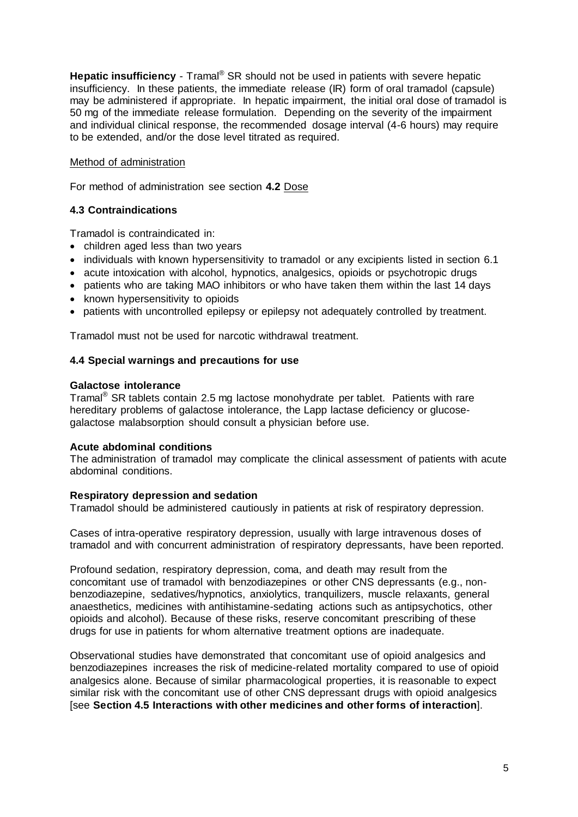**Hepatic insufficiency** - Tramal<sup>®</sup> SR should not be used in patients with severe hepatic insufficiency. In these patients, the immediate release (IR) form of oral tramadol (capsule) may be administered if appropriate. In hepatic impairment, the initial oral dose of tramadol is 50 mg of the immediate release formulation. Depending on the severity of the impairment and individual clinical response, the recommended dosage interval (4-6 hours) may require to be extended, and/or the dose level titrated as required.

### Method of administration

For method of administration see section **4.2** Dose

## **4.3 Contraindications**

Tramadol is contraindicated in:

- children aged less than two years
- individuals with known hypersensitivity to tramadol or any excipients listed in section 6.1
- acute intoxication with alcohol, hypnotics, analgesics, opioids or psychotropic drugs
- patients who are taking MAO inhibitors or who have taken them within the last 14 days
- known hypersensitivity to opioids
- patients with uncontrolled epilepsy or epilepsy not adequately controlled by treatment.

Tramadol must not be used for narcotic withdrawal treatment.

### **4.4 Special warnings and precautions for use**

#### **Galactose intolerance**

Tramal® SR tablets contain 2.5 mg lactose monohydrate per tablet. Patients with rare hereditary problems of galactose intolerance, the Lapp lactase deficiency or glucosegalactose malabsorption should consult a physician before use.

#### **Acute abdominal conditions**

The administration of tramadol may complicate the clinical assessment of patients with acute abdominal conditions.

#### **Respiratory depression and sedation**

Tramadol should be administered cautiously in patients at risk of respiratory depression.

Cases of intra-operative respiratory depression, usually with large intravenous doses of tramadol and with concurrent administration of respiratory depressants, have been reported.

Profound sedation, respiratory depression, coma, and death may result from the concomitant use of tramadol with benzodiazepines or other CNS depressants (e.g., nonbenzodiazepine, sedatives/hypnotics, anxiolytics, tranquilizers, muscle relaxants, general anaesthetics, medicines with antihistamine-sedating actions such as antipsychotics, other opioids and alcohol). Because of these risks, reserve concomitant prescribing of these drugs for use in patients for whom alternative treatment options are inadequate.

Observational studies have demonstrated that concomitant use of opioid analgesics and benzodiazepines increases the risk of medicine-related mortality compared to use of opioid analgesics alone. Because of similar pharmacological properties, it is reasonable to expect similar risk with the concomitant use of other CNS depressant drugs with opioid analgesics [see **Section 4.5 Interactions with other medicines and other forms of interaction**].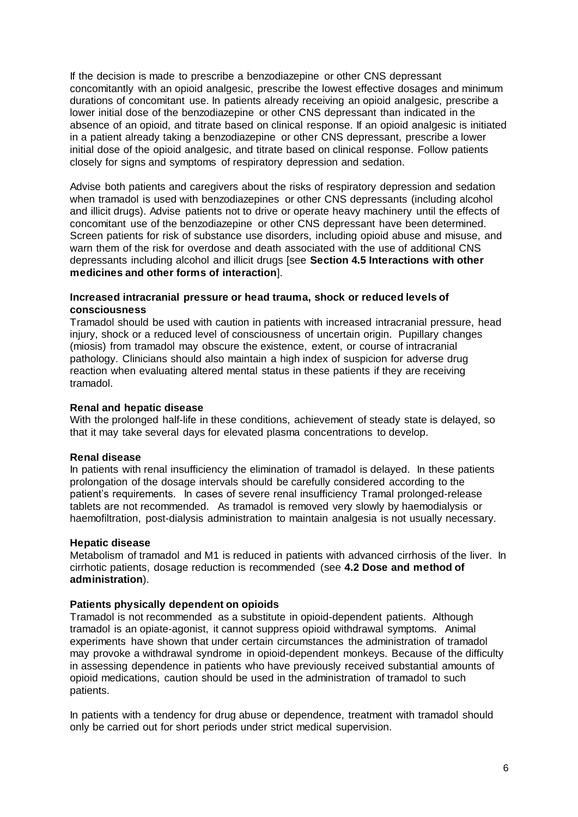If the decision is made to prescribe a benzodiazepine or other CNS depressant concomitantly with an opioid analgesic, prescribe the lowest effective dosages and minimum durations of concomitant use. In patients already receiving an opioid analgesic, prescribe a lower initial dose of the benzodiazepine or other CNS depressant than indicated in the absence of an opioid, and titrate based on clinical response. If an opioid analgesic is initiated in a patient already taking a benzodiazepine or other CNS depressant, prescribe a lower initial dose of the opioid analgesic, and titrate based on clinical response. Follow patients closely for signs and symptoms of respiratory depression and sedation.

Advise both patients and caregivers about the risks of respiratory depression and sedation when tramadol is used with benzodiazepines or other CNS depressants (including alcohol and illicit drugs). Advise patients not to drive or operate heavy machinery until the effects of concomitant use of the benzodiazepine or other CNS depressant have been determined. Screen patients for risk of substance use disorders, including opioid abuse and misuse, and warn them of the risk for overdose and death associated with the use of additional CNS depressants including alcohol and illicit drugs [see **Section 4.5 Interactions with other medicines and other forms of interaction**].

## **Increased intracranial pressure or head trauma, shock or reduced levels of consciousness**

Tramadol should be used with caution in patients with increased intracranial pressure, head injury, shock or a reduced level of consciousness of uncertain origin. Pupillary changes (miosis) from tramadol may obscure the existence, extent, or course of intracranial pathology. Clinicians should also maintain a high index of suspicion for adverse drug reaction when evaluating altered mental status in these patients if they are receiving tramadol.

## **Renal and hepatic disease**

With the prolonged half-life in these conditions, achievement of steady state is delayed, so that it may take several days for elevated plasma concentrations to develop.

## **Renal disease**

In patients with renal insufficiency the elimination of tramadol is delayed. In these patients prolongation of the dosage intervals should be carefully considered according to the patient's requirements. In cases of severe renal insufficiency Tramal prolonged-release tablets are not recommended. As tramadol is removed very slowly by haemodialysis or haemofiltration, post-dialysis administration to maintain analgesia is not usually necessary.

#### **Hepatic disease**

Metabolism of tramadol and M1 is reduced in patients with advanced cirrhosis of the liver. In cirrhotic patients, dosage reduction is recommended (see **4.2 Dose and method of administration**).

#### **Patients physically dependent on opioids**

Tramadol is not recommended as a substitute in opioid-dependent patients. Although tramadol is an opiate-agonist, it cannot suppress opioid withdrawal symptoms. Animal experiments have shown that under certain circumstances the administration of tramadol may provoke a withdrawal syndrome in opioid-dependent monkeys. Because of the difficulty in assessing dependence in patients who have previously received substantial amounts of opioid medications, caution should be used in the administration of tramadol to such patients.

In patients with a tendency for drug abuse or dependence, treatment with tramadol should only be carried out for short periods under strict medical supervision.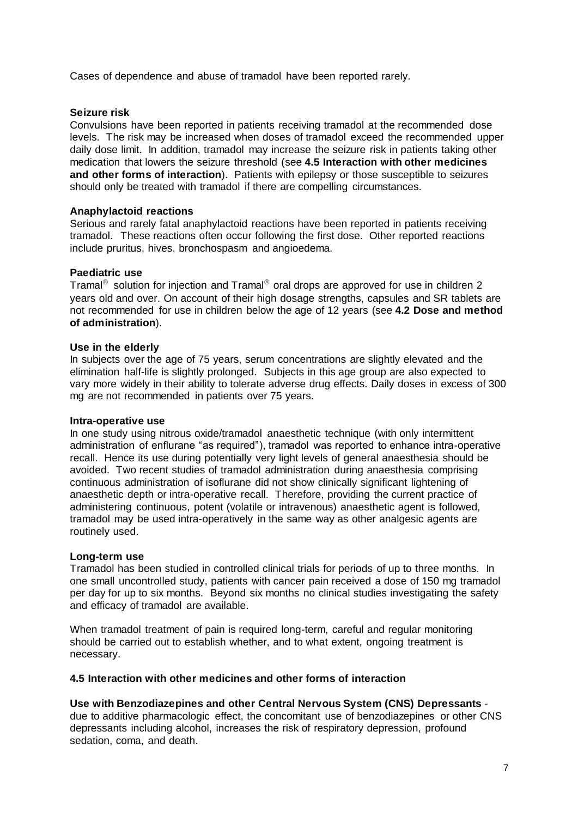Cases of dependence and abuse of tramadol have been reported rarely.

### **Seizure risk**

Convulsions have been reported in patients receiving tramadol at the recommended dose levels. The risk may be increased when doses of tramadol exceed the recommended upper daily dose limit. In addition, tramadol may increase the seizure risk in patients taking other medication that lowers the seizure threshold (see **4.5 Interaction with other medicines and other forms of interaction**). Patients with epilepsy or those susceptible to seizures should only be treated with tramadol if there are compelling circumstances.

### **Anaphylactoid reactions**

Serious and rarely fatal anaphylactoid reactions have been reported in patients receiving tramadol. These reactions often occur following the first dose. Other reported reactions include pruritus, hives, bronchospasm and angioedema.

#### **Paediatric use**

Tramal<sup>®</sup> solution for injection and Tramal<sup>®</sup> oral drops are approved for use in children 2 years old and over. On account of their high dosage strengths, capsules and SR tablets are not recommended for use in children below the age of 12 years (see **4.2 Dose and method of administration**).

#### **Use in the elderly**

In subjects over the age of 75 years, serum concentrations are slightly elevated and the elimination half-life is slightly prolonged. Subjects in this age group are also expected to vary more widely in their ability to tolerate adverse drug effects. Daily doses in excess of 300 mg are not recommended in patients over 75 years.

#### **Intra-operative use**

In one study using nitrous oxide/tramadol anaesthetic technique (with only intermittent administration of enflurane "as required"), tramadol was reported to enhance intra-operative recall. Hence its use during potentially very light levels of general anaesthesia should be avoided. Two recent studies of tramadol administration during anaesthesia comprising continuous administration of isoflurane did not show clinically significant lightening of anaesthetic depth or intra-operative recall. Therefore, providing the current practice of administering continuous, potent (volatile or intravenous) anaesthetic agent is followed, tramadol may be used intra-operatively in the same way as other analgesic agents are routinely used.

#### **Long-term use**

Tramadol has been studied in controlled clinical trials for periods of up to three months. In one small uncontrolled study, patients with cancer pain received a dose of 150 mg tramadol per day for up to six months. Beyond six months no clinical studies investigating the safety and efficacy of tramadol are available.

When tramadol treatment of pain is required long-term, careful and regular monitoring should be carried out to establish whether, and to what extent, ongoing treatment is necessary.

#### **4.5 Interaction with other medicines and other forms of interaction**

## **Use with Benzodiazepines and other Central Nervous System (CNS) Depressants** -

due to additive pharmacologic effect, the concomitant use of benzodiazepines or other CNS depressants including alcohol, increases the risk of respiratory depression, profound sedation, coma, and death.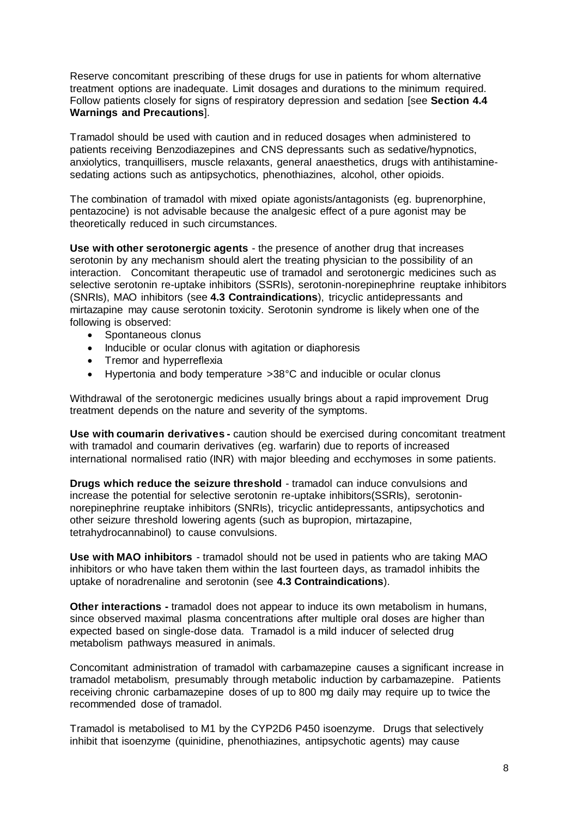Reserve concomitant prescribing of these drugs for use in patients for whom alternative treatment options are inadequate. Limit dosages and durations to the minimum required. Follow patients closely for signs of respiratory depression and sedation [see **Section 4.4 Warnings and Precautions**].

Tramadol should be used with caution and in reduced dosages when administered to patients receiving Benzodiazepines and CNS depressants such as sedative/hypnotics, anxiolytics, tranquillisers, muscle relaxants, general anaesthetics, drugs with antihistaminesedating actions such as antipsychotics, phenothiazines, alcohol, other opioids.

The combination of tramadol with mixed opiate agonists/antagonists (eg. buprenorphine, pentazocine) is not advisable because the analgesic effect of a pure agonist may be theoretically reduced in such circumstances.

**Use with other serotonergic agents** - the presence of another drug that increases serotonin by any mechanism should alert the treating physician to the possibility of an interaction. Concomitant therapeutic use of tramadol and serotonergic medicines such as selective serotonin re-uptake inhibitors (SSRIs), serotonin-norepinephrine reuptake inhibitors (SNRIs), MAO inhibitors (see **4.3 Contraindications**), tricyclic antidepressants and mirtazapine may cause serotonin toxicity. Serotonin syndrome is likely when one of the following is observed:

- Spontaneous clonus
- Inducible or ocular clonus with agitation or diaphoresis
- Tremor and hyperreflexia
- Hypertonia and body temperature >38°C and inducible or ocular clonus

Withdrawal of the serotonergic medicines usually brings about a rapid improvement Drug treatment depends on the nature and severity of the symptoms.

**Use with coumarin derivatives -** caution should be exercised during concomitant treatment with tramadol and coumarin derivatives (eg. warfarin) due to reports of increased international normalised ratio (INR) with major bleeding and ecchymoses in some patients.

**Drugs which reduce the seizure threshold** - tramadol can induce convulsions and increase the potential for selective serotonin re-uptake inhibitors(SSRIs), serotoninnorepinephrine reuptake inhibitors (SNRIs), tricyclic antidepressants, antipsychotics and other seizure threshold lowering agents (such as bupropion, mirtazapine, tetrahydrocannabinol) to cause convulsions.

**Use with MAO inhibitors** - tramadol should not be used in patients who are taking MAO inhibitors or who have taken them within the last fourteen days, as tramadol inhibits the uptake of noradrenaline and serotonin (see **4.3 Contraindications**).

**Other interactions -** tramadol does not appear to induce its own metabolism in humans, since observed maximal plasma concentrations after multiple oral doses are higher than expected based on single-dose data. Tramadol is a mild inducer of selected drug metabolism pathways measured in animals.

Concomitant administration of tramadol with carbamazepine causes a significant increase in tramadol metabolism, presumably through metabolic induction by carbamazepine. Patients receiving chronic carbamazepine doses of up to 800 mg daily may require up to twice the recommended dose of tramadol.

Tramadol is metabolised to M1 by the CYP2D6 P450 isoenzyme. Drugs that selectively inhibit that isoenzyme (quinidine, phenothiazines, antipsychotic agents) may cause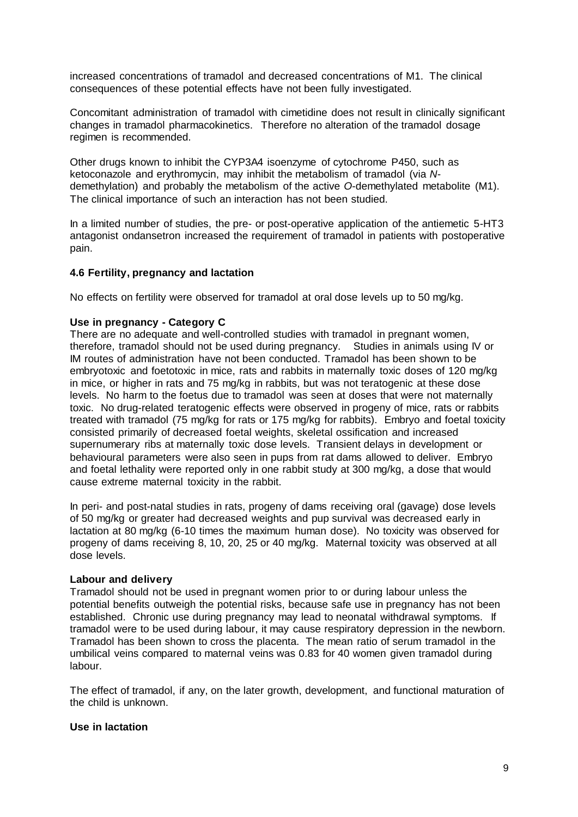increased concentrations of tramadol and decreased concentrations of M1. The clinical consequences of these potential effects have not been fully investigated.

Concomitant administration of tramadol with cimetidine does not result in clinically significant changes in tramadol pharmacokinetics. Therefore no alteration of the tramadol dosage regimen is recommended.

Other drugs known to inhibit the CYP3A4 isoenzyme of cytochrome P450, such as ketoconazole and erythromycin, may inhibit the metabolism of tramadol (via *N*demethylation) and probably the metabolism of the active *O*-demethylated metabolite (M1). The clinical importance of such an interaction has not been studied.

In a limited number of studies, the pre- or post-operative application of the antiemetic 5-HT3 antagonist ondansetron increased the requirement of tramadol in patients with postoperative pain.

### **4.6 Fertility, pregnancy and lactation**

No effects on fertility were observed for tramadol at oral dose levels up to 50 mg/kg.

#### **Use in pregnancy - Category C**

There are no adequate and well-controlled studies with tramadol in pregnant women, therefore, tramadol should not be used during pregnancy. Studies in animals using IV or IM routes of administration have not been conducted. Tramadol has been shown to be embryotoxic and foetotoxic in mice, rats and rabbits in maternally toxic doses of 120 mg/kg in mice, or higher in rats and 75 mg/kg in rabbits, but was not teratogenic at these dose levels. No harm to the foetus due to tramadol was seen at doses that were not maternally toxic. No drug-related teratogenic effects were observed in progeny of mice, rats or rabbits treated with tramadol (75 mg/kg for rats or 175 mg/kg for rabbits). Embryo and foetal toxicity consisted primarily of decreased foetal weights, skeletal ossification and increased supernumerary ribs at maternally toxic dose levels. Transient delays in development or behavioural parameters were also seen in pups from rat dams allowed to deliver. Embryo and foetal lethality were reported only in one rabbit study at 300 mg/kg, a dose that would cause extreme maternal toxicity in the rabbit.

In peri- and post-natal studies in rats, progeny of dams receiving oral (gavage) dose levels of 50 mg/kg or greater had decreased weights and pup survival was decreased early in lactation at 80 mg/kg (6-10 times the maximum human dose). No toxicity was observed for progeny of dams receiving 8, 10, 20, 25 or 40 mg/kg. Maternal toxicity was observed at all dose levels.

#### **Labour and delivery**

Tramadol should not be used in pregnant women prior to or during labour unless the potential benefits outweigh the potential risks, because safe use in pregnancy has not been established. Chronic use during pregnancy may lead to neonatal withdrawal symptoms. If tramadol were to be used during labour, it may cause respiratory depression in the newborn. Tramadol has been shown to cross the placenta. The mean ratio of serum tramadol in the umbilical veins compared to maternal veins was 0.83 for 40 women given tramadol during labour.

The effect of tramadol, if any, on the later growth, development, and functional maturation of the child is unknown.

#### **Use in lactation**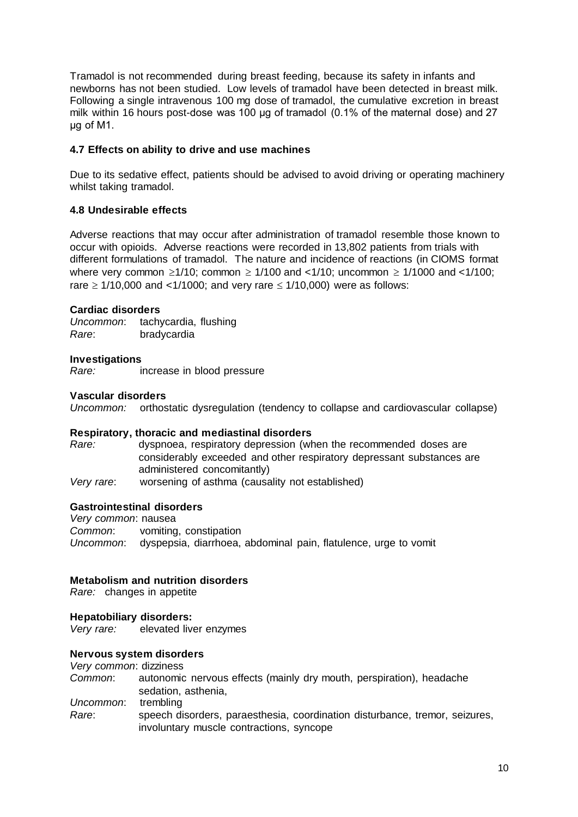Tramadol is not recommended during breast feeding, because its safety in infants and newborns has not been studied. Low levels of tramadol have been detected in breast milk. Following a single intravenous 100 mg dose of tramadol, the cumulative excretion in breast milk within 16 hours post-dose was 100 μg of tramadol (0.1% of the maternal dose) and 27 μg of M1.

## **4.7 Effects on ability to drive and use machines**

Due to its sedative effect, patients should be advised to avoid driving or operating machinery whilst taking tramadol.

#### **4.8 Undesirable effects**

Adverse reactions that may occur after administration of tramadol resemble those known to occur with opioids. Adverse reactions were recorded in 13,802 patients from trials with different formulations of tramadol. The nature and incidence of reactions (in CIOMS format where very common  $\geq 1/10$ ; common  $\geq 1/100$  and  $\lt 1/10$ ; uncommon  $\geq 1/1000$  and  $\lt 1/100$ ; rare  $\geq$  1/10,000 and <1/1000; and very rare  $\leq$  1/10,000) were as follows:

#### **Cardiac disorders**

*Uncommon*: tachycardia, flushing *Rare*: bradycardia

#### **Investigations**

*Rare:* increase in blood pressure

#### **Vascular disorders**

*Uncommon:* orthostatic dysregulation (tendency to collapse and cardiovascular collapse)

#### **Respiratory, thoracic and mediastinal disorders**

*Rare:* dyspnoea, respiratory depression (when the recommended doses are considerably exceeded and other respiratory depressant substances are administered concomitantly)

*Very rare*: worsening of asthma (causality not established)

#### **Gastrointestinal disorders**

*Very common*: nausea *Common*: vomiting, constipation *Uncommon*: dyspepsia, diarrhoea, abdominal pain, flatulence, urge to vomit

#### **Metabolism and nutrition disorders**

*Rare:* changes in appetite

#### **Hepatobiliary disorders:**

*Very rare:* elevated liver enzymes

#### **Nervous system disorders**

*Very common*: dizziness

*Common*: autonomic nervous effects (mainly dry mouth, perspiration), headache sedation, asthenia, *Uncommon*: trembling

*Rare*: speech disorders, paraesthesia, coordination disturbance, tremor, seizures, involuntary muscle contractions, syncope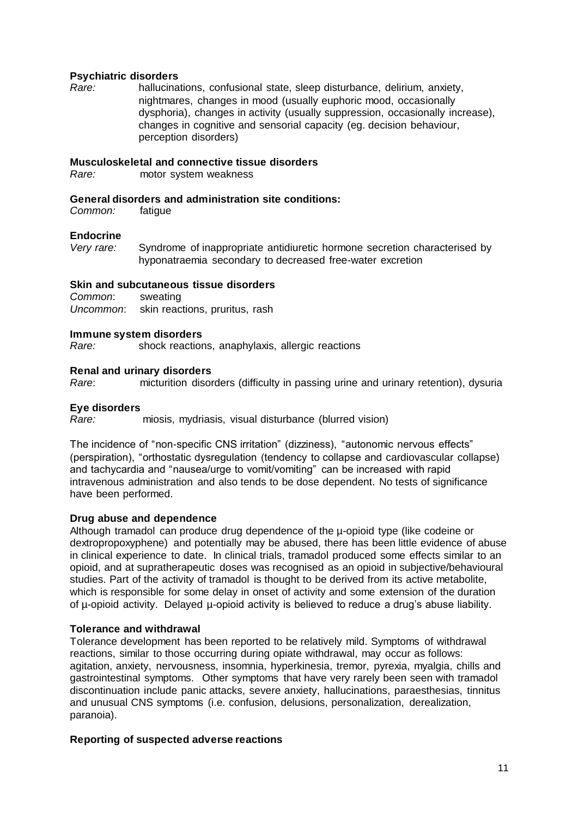#### **Psychiatric disorders**

*Rare:* hallucinations, confusional state, sleep disturbance, delirium, anxiety, nightmares, changes in mood (usually euphoric mood, occasionally dysphoria), changes in activity (usually suppression, occasionally increase), changes in cognitive and sensorial capacity (eg. decision behaviour, perception disorders)

### **Musculoskeletal and connective tissue disorders**

*Rare:* motor system weakness

### **General disorders and administration site conditions:**

*Common:* fatigue

### **Endocrine**

*Very rare:* Syndrome of inappropriate antidiuretic hormone secretion characterised by hyponatraemia secondary to decreased free-water excretion

### **Skin and subcutaneous tissue disorders**

*Common*: sweating *Uncommon*: skin reactions, pruritus, rash

#### **Immune system disorders**

*Rare:* shock reactions, anaphylaxis, allergic reactions

### **Renal and urinary disorders**

*Rare*: micturition disorders (difficulty in passing urine and urinary retention), dysuria

#### **Eye disorders**

*Rare:* miosis, mydriasis, visual disturbance (blurred vision)

The incidence of "non-specific CNS irritation" (dizziness), "autonomic nervous effects" (perspiration), "orthostatic dysregulation (tendency to collapse and cardiovascular collapse) and tachycardia and "nausea/urge to vomit/vomiting" can be increased with rapid intravenous administration and also tends to be dose dependent. No tests of significance have been performed.

## **Drug abuse and dependence**

Although tramadol can produce drug dependence of the µ-opioid type (like codeine or dextropropoxyphene) and potentially may be abused, there has been little evidence of abuse in clinical experience to date. In clinical trials, tramadol produced some effects similar to an opioid, and at supratherapeutic doses was recognised as an opioid in subjective/behavioural studies. Part of the activity of tramadol is thought to be derived from its active metabolite, which is responsible for some delay in onset of activity and some extension of the duration of µ-opioid activity. Delayed µ-opioid activity is believed to reduce a drug's abuse liability.

## **Tolerance and withdrawal**

Tolerance development has been reported to be relatively mild. Symptoms of withdrawal reactions, similar to those occurring during opiate withdrawal, may occur as follows: agitation, anxiety, nervousness, insomnia, hyperkinesia, tremor, pyrexia, myalgia, chills and gastrointestinal symptoms. Other symptoms that have very rarely been seen with tramadol discontinuation include panic attacks, severe anxiety, hallucinations, paraesthesias, tinnitus and unusual CNS symptoms (i.e. confusion, delusions, personalization, derealization, paranoia).

#### **Reporting of suspected adverse reactions**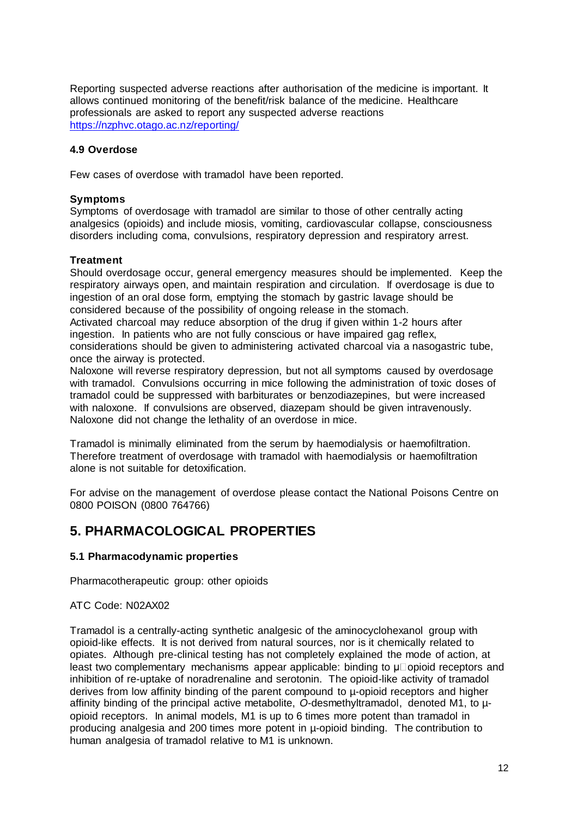Reporting suspected adverse reactions after authorisation of the medicine is important. It allows continued monitoring of the benefit/risk balance of the medicine. Healthcare professionals are asked to report any suspected adverse reactions <https://nzphvc.otago.ac.nz/reporting/>

## **4.9 Overdose**

Few cases of overdose with tramadol have been reported.

### **Symptoms**

Symptoms of overdosage with tramadol are similar to those of other centrally acting analgesics (opioids) and include miosis, vomiting, cardiovascular collapse, consciousness disorders including coma, convulsions, respiratory depression and respiratory arrest.

#### **Treatment**

Should overdosage occur, general emergency measures should be implemented. Keep the respiratory airways open, and maintain respiration and circulation. If overdosage is due to ingestion of an oral dose form, emptying the stomach by gastric lavage should be considered because of the possibility of ongoing release in the stomach.

Activated charcoal may reduce absorption of the drug if given within 1-2 hours after ingestion. In patients who are not fully conscious or have impaired gag reflex, considerations should be given to administering activated charcoal via a nasogastric tube, once the airway is protected.

Naloxone will reverse respiratory depression, but not all symptoms caused by overdosage with tramadol. Convulsions occurring in mice following the administration of toxic doses of tramadol could be suppressed with barbiturates or benzodiazepines, but were increased with naloxone. If convulsions are observed, diazepam should be given intravenously. Naloxone did not change the lethality of an overdose in mice.

Tramadol is minimally eliminated from the serum by haemodialysis or haemofiltration. Therefore treatment of overdosage with tramadol with haemodialysis or haemofiltration alone is not suitable for detoxification.

For advise on the management of overdose please contact the National Poisons Centre on 0800 POISON (0800 764766)

## **5. PHARMACOLOGICAL PROPERTIES**

#### **5.1 Pharmacodynamic properties**

Pharmacotherapeutic group: other opioids

#### ATC Code: N02AX02

Tramadol is a centrally-acting synthetic analgesic of the aminocyclohexanol group with opioid-like effects. It is not derived from natural sources, nor is it chemically related to opiates. Although pre-clinical testing has not completely explained the mode of action, at least two complementary mechanisms appear applicable: binding to  $\mu$  opioid receptors and inhibition of re-uptake of noradrenaline and serotonin. The opioid-like activity of tramadol derives from low affinity binding of the parent compound to µ-opioid receptors and higher affinity binding of the principal active metabolite, *O*-desmethyltramadol, denoted M1, to µopioid receptors. In animal models, M1 is up to 6 times more potent than tramadol in producing analgesia and 200 times more potent in µ-opioid binding. The contribution to human analgesia of tramadol relative to M1 is unknown.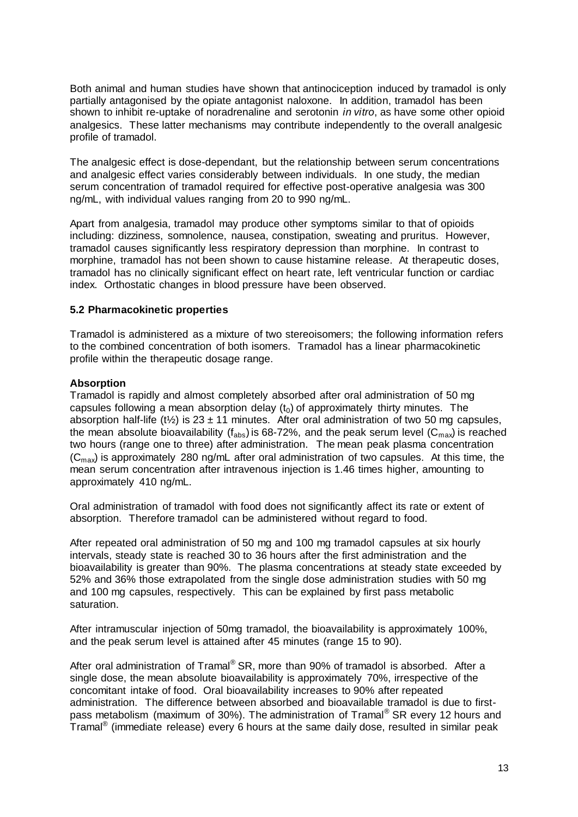Both animal and human studies have shown that antinociception induced by tramadol is only partially antagonised by the opiate antagonist naloxone. In addition, tramadol has been shown to inhibit re-uptake of noradrenaline and serotonin *in vitro*, as have some other opioid analgesics. These latter mechanisms may contribute independently to the overall analgesic profile of tramadol.

The analgesic effect is dose-dependant, but the relationship between serum concentrations and analgesic effect varies considerably between individuals. In one study, the median serum concentration of tramadol required for effective post-operative analgesia was 300 ng/mL, with individual values ranging from 20 to 990 ng/mL.

Apart from analgesia, tramadol may produce other symptoms similar to that of opioids including: dizziness, somnolence, nausea, constipation, sweating and pruritus. However, tramadol causes significantly less respiratory depression than morphine. In contrast to morphine, tramadol has not been shown to cause histamine release. At therapeutic doses, tramadol has no clinically significant effect on heart rate, left ventricular function or cardiac index. Orthostatic changes in blood pressure have been observed.

## **5.2 Pharmacokinetic properties**

Tramadol is administered as a mixture of two stereoisomers; the following information refers to the combined concentration of both isomers. Tramadol has a linear pharmacokinetic profile within the therapeutic dosage range.

### **Absorption**

Tramadol is rapidly and almost completely absorbed after oral administration of 50 mg capsules following a mean absorption delay  $(t<sub>0</sub>)$  of approximately thirty minutes. The absorption half-life (t<sup>1</sup>/<sub>2</sub>) is 23 ± 11 minutes. After oral administration of two 50 mg capsules, the mean absolute bioavailability ( $f_{abs}$ ) is 68-72%, and the peak serum level ( $C_{max}$ ) is reached two hours (range one to three) after administration. The mean peak plasma concentration  $(C_{\text{max}})$  is approximately 280 ng/mL after oral administration of two capsules. At this time, the mean serum concentration after intravenous injection is 1.46 times higher, amounting to approximately 410 ng/mL.

Oral administration of tramadol with food does not significantly affect its rate or extent of absorption. Therefore tramadol can be administered without regard to food.

After repeated oral administration of 50 mg and 100 mg tramadol capsules at six hourly intervals, steady state is reached 30 to 36 hours after the first administration and the bioavailability is greater than 90%. The plasma concentrations at steady state exceeded by 52% and 36% those extrapolated from the single dose administration studies with 50 mg and 100 mg capsules, respectively. This can be explained by first pass metabolic saturation.

After intramuscular injection of 50mg tramadol, the bioavailability is approximately 100%, and the peak serum level is attained after 45 minutes (range 15 to 90).

After oral administration of Tramal<sup>®</sup> SR, more than 90% of tramadol is absorbed. After a single dose, the mean absolute bioavailability is approximately 70%, irrespective of the concomitant intake of food. Oral bioavailability increases to 90% after repeated administration. The difference between absorbed and bioavailable tramadol is due to firstpass metabolism (maximum of 30%). The administration of Tramal® SR every 12 hours and Tramal $^{\circledR}$  (immediate release) every 6 hours at the same daily dose, resulted in similar peak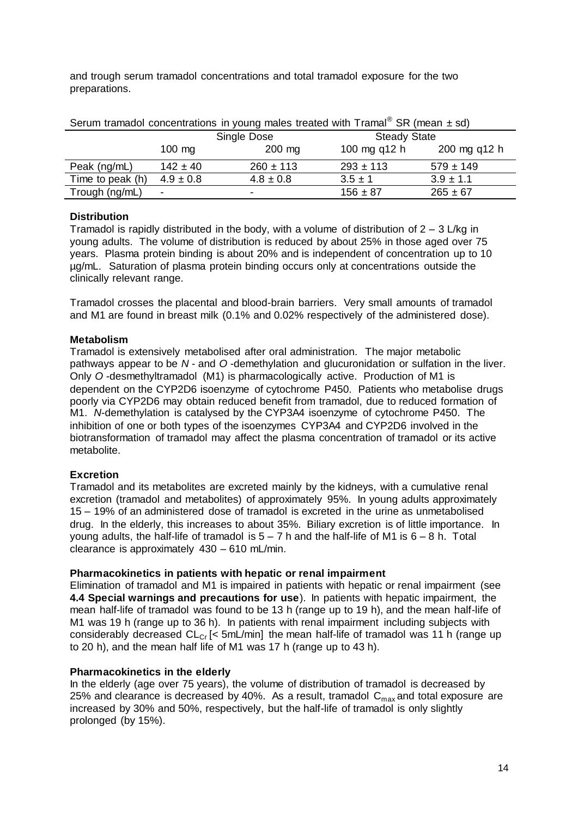and trough serum tramadol concentrations and total tramadol exposure for the two preparations.

| Serum tramadol concentrations in young males treated with $\text{Tramal}^{\circledR}$ SR (mean $\pm$ sd) |                  |                          |                     |               |
|----------------------------------------------------------------------------------------------------------|------------------|--------------------------|---------------------|---------------|
|                                                                                                          | Single Dose      |                          | <b>Steady State</b> |               |
|                                                                                                          | $100 \text{ mg}$ | $200$ mg                 | 100 mg q12 h        | 200 mg q12 h  |
| Peak (ng/mL)                                                                                             | $142 \pm 40$     | $260 \pm 113$            | $293 \pm 113$       | $579 \pm 149$ |
| Time to peak (h)                                                                                         | $4.9 \pm 0.8$    | $4.8 \pm 0.8$            | $3.5 \pm 1$         | $3.9 \pm 1.1$ |
| Trough (ng/mL)                                                                                           | $\blacksquare$   | $\overline{\phantom{0}}$ | $156 \pm 87$        | $265 \pm 67$  |

# **Distribution**

Tramadol is rapidly distributed in the body, with a volume of distribution of  $2 - 3$  L/kg in young adults. The volume of distribution is reduced by about 25% in those aged over 75 years. Plasma protein binding is about 20% and is independent of concentration up to 10 µg/mL. Saturation of plasma protein binding occurs only at concentrations outside the clinically relevant range.

Tramadol crosses the placental and blood-brain barriers. Very small amounts of tramadol and M1 are found in breast milk (0.1% and 0.02% respectively of the administered dose).

### **Metabolism**

Tramadol is extensively metabolised after oral administration. The major metabolic pathways appear to be *N* - and *O* -demethylation and glucuronidation or sulfation in the liver. Only *O* -desmethyltramadol (M1) is pharmacologically active. Production of M1 is dependent on the CYP2D6 isoenzyme of cytochrome P450. Patients who metabolise drugs poorly via CYP2D6 may obtain reduced benefit from tramadol, due to reduced formation of M1. *N*-demethylation is catalysed by the CYP3A4 isoenzyme of cytochrome P450. The inhibition of one or both types of the isoenzymes CYP3A4 and CYP2D6 involved in the biotransformation of tramadol may affect the plasma concentration of tramadol or its active metabolite.

## **Excretion**

Tramadol and its metabolites are excreted mainly by the kidneys, with a cumulative renal excretion (tramadol and metabolites) of approximately 95%. In young adults approximately 15 – 19% of an administered dose of tramadol is excreted in the urine as unmetabolised drug. In the elderly, this increases to about 35%. Biliary excretion is of little importance. In young adults, the half-life of tramadol is  $5 - 7$  h and the half-life of M1 is  $6 - 8$  h. Total clearance is approximately 430 – 610 mL/min.

#### **Pharmacokinetics in patients with hepatic or renal impairment**

Elimination of tramadol and M1 is impaired in patients with hepatic or renal impairment (see **4.4 Special warnings and precautions for use**). In patients with hepatic impairment, the mean half-life of tramadol was found to be 13 h (range up to 19 h), and the mean half-life of M1 was 19 h (range up to 36 h). In patients with renal impairment including subjects with considerably decreased  $CL_{Cr}$  [< 5mL/min] the mean half-life of tramadol was 11 h (range up to 20 h), and the mean half life of M1 was 17 h (range up to 43 h).

#### **Pharmacokinetics in the elderly**

In the elderly (age over 75 years), the volume of distribution of tramadol is decreased by 25% and clearance is decreased by 40%. As a result, tramadol  $C_{\text{max}}$  and total exposure are increased by 30% and 50%, respectively, but the half-life of tramadol is only slightly prolonged (by 15%).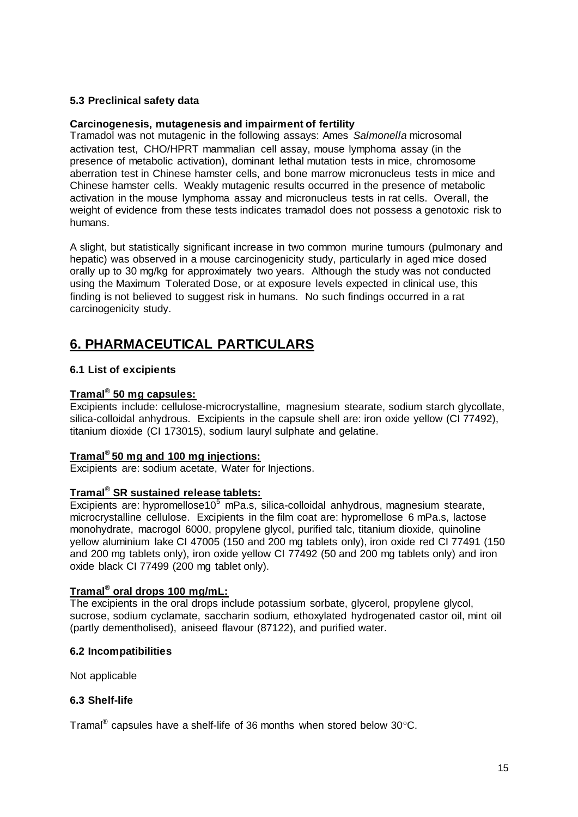## **5.3 Preclinical safety data**

#### **Carcinogenesis, mutagenesis and impairment of fertility**

Tramadol was not mutagenic in the following assays: Ames *Salmonella* microsomal activation test, CHO/HPRT mammalian cell assay, mouse lymphoma assay (in the presence of metabolic activation), dominant lethal mutation tests in mice, chromosome aberration test in Chinese hamster cells, and bone marrow micronucleus tests in mice and Chinese hamster cells. Weakly mutagenic results occurred in the presence of metabolic activation in the mouse lymphoma assay and micronucleus tests in rat cells. Overall, the weight of evidence from these tests indicates tramadol does not possess a genotoxic risk to humans.

A slight, but statistically significant increase in two common murine tumours (pulmonary and hepatic) was observed in a mouse carcinogenicity study, particularly in aged mice dosed orally up to 30 mg/kg for approximately two years. Although the study was not conducted using the Maximum Tolerated Dose, or at exposure levels expected in clinical use, this finding is not believed to suggest risk in humans. No such findings occurred in a rat carcinogenicity study.

## **6. PHARMACEUTICAL PARTICULARS**

## **6.1 List of excipients**

### **Tramal® 50 mg capsules:**

Excipients include: cellulose-microcrystalline, magnesium stearate, sodium starch glycollate, silica-colloidal anhydrous. Excipients in the capsule shell are: iron oxide yellow (CI 77492), titanium dioxide (CI 173015), sodium lauryl sulphate and gelatine.

#### **Tramal® 50 mg and 100 mg injections:**

Excipients are: sodium acetate, Water for Injections.

## **Tramal® SR sustained release tablets:**

 $\overline{\text{Excipients}}$  are: hypromellose10<sup>5</sup> mPa.s, silica-colloidal anhydrous, magnesium stearate, microcrystalline cellulose. Excipients in the film coat are: hypromellose 6 mPa.s, lactose monohydrate, macrogol 6000, propylene glycol, purified talc, titanium dioxide, quinoline yellow aluminium lake CI 47005 (150 and 200 mg tablets only), iron oxide red CI 77491 (150 and 200 mg tablets only), iron oxide yellow CI 77492 (50 and 200 mg tablets only) and iron oxide black CI 77499 (200 mg tablet only).

## **Tramal® oral drops 100 mg/mL:**

The excipients in the oral drops include potassium sorbate, glycerol, propylene glycol, sucrose, sodium cyclamate, saccharin sodium, ethoxylated hydrogenated castor oil, mint oil (partly dementholised), aniseed flavour (87122), and purified water.

#### **6.2 Incompatibilities**

Not applicable

#### **6.3 Shelf-life**

Tramal<sup>®</sup> capsules have a shelf-life of 36 months when stored below 30°C.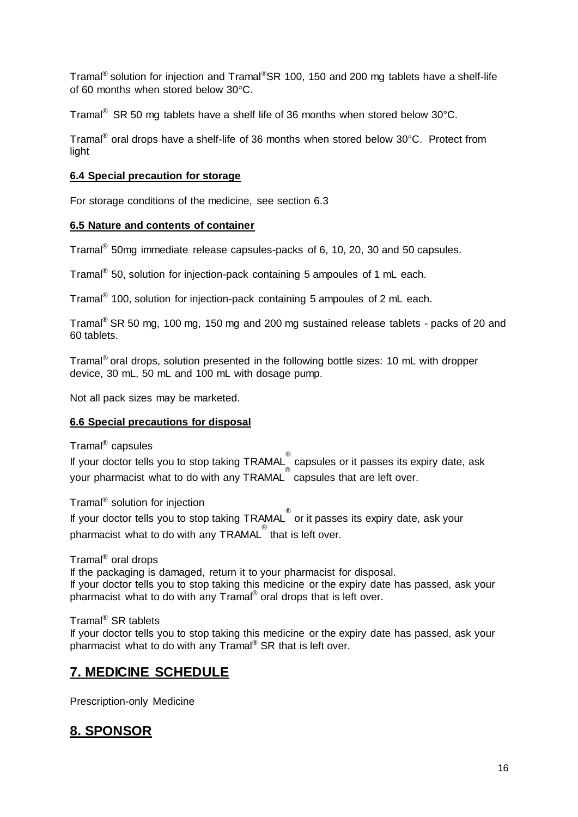Tramal<sup>®</sup> solution for injection and Tramal<sup>®</sup>SR 100, 150 and 200 mg tablets have a shelf-life of 60 months when stored below  $30^{\circ}$ C.

Tramal® SR 50 mg tablets have a shelf life of 36 months when stored below 30°C.

Tramal<sup>®</sup> oral drops have a shelf-life of 36 months when stored below 30°C. Protect from light

### **6.4 Special precaution for storage**

For storage conditions of the medicine, see section 6.3

### **6.5 Nature and contents of container**

Tramal $^{\circledR}$  50mg immediate release capsules-packs of 6, 10, 20, 30 and 50 capsules.

Tramal<sup>®</sup> 50, solution for injection-pack containing 5 ampoules of 1 mL each.

Tramal<sup>®</sup> 100, solution for injection-pack containing 5 ampoules of 2 mL each.

Tramal® SR 50 mg, 100 mg, 150 mg and 200 mg sustained release tablets - packs of 20 and 60 tablets.

Tramal<sup>®</sup> oral drops, solution presented in the following bottle sizes: 10 mL with dropper device, 30 mL, 50 mL and 100 mL with dosage pump.

Not all pack sizes may be marketed.

## **6.6 Special precautions for disposal**

Tramal® capsules

If your doctor tells you to stop taking TRAMAL ® capsules or it passes its expiry date, ask your pharmacist what to do with any TRAMAL ® capsules that are left over.

Tramal® solution for injection

If your doctor tells you to stop taking TRAMAL ® or it passes its expiry date, ask your pharmacist what to do with any TRAMAL<sup>®</sup> that is left over.

Tramal® oral drops

If the packaging is damaged, return it to your pharmacist for disposal. If your doctor tells you to stop taking this medicine or the expiry date has passed, ask your pharmacist what to do with any Tramal® oral drops that is left over.

Tramal® SR tablets

If your doctor tells you to stop taking this medicine or the expiry date has passed, ask your pharmacist what to do with any Tramal® SR that is left over.

## **7. MEDICINE SCHEDULE**

Prescription-only Medicine

## **8. SPONSOR**